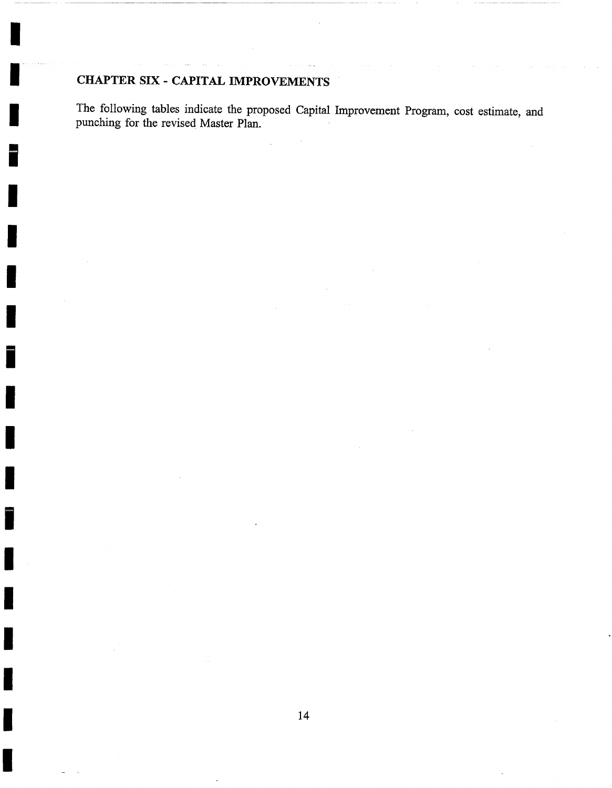## CHAPTER SIX - CAPITAL IMPROVEMENTS

**I** 

i .....

I

i

I

I

I

The following tables indicate the proposed Capital Improvement Program, cost estimate, and punching for the revised Master Plan.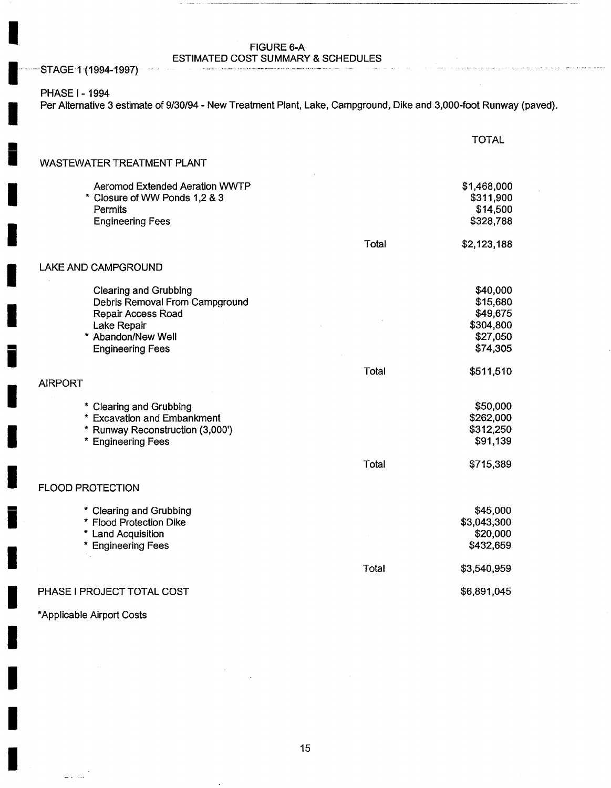### FIGURE 6-A

ESTIMATED COST SUMMARY & SCHEDULES

STAGE-1 (1994-1997)

### PHASE I- 1994

**!** 

**I** 

**I** 

Per Alternative 3 estimate of 9/30/94 - New Treatment Plant, Lake, Campground, Dike and 3,000-foot Runway (paved).

|                                                                                                                                                      |       | <b>TOTAL</b>                                                          |
|------------------------------------------------------------------------------------------------------------------------------------------------------|-------|-----------------------------------------------------------------------|
| <b>WASTEWATER TREATMENT PLANT</b>                                                                                                                    |       |                                                                       |
| Aeromod Extended Aeration WWTP<br>* Closure of WW Ponds 1,2 & 3<br>Permits<br><b>Engineering Fees</b>                                                |       | \$1,468,000<br>\$311,900<br>\$14,500<br>\$328,788                     |
|                                                                                                                                                      | Total | \$2,123,188                                                           |
| LAKE AND CAMPGROUND                                                                                                                                  |       |                                                                       |
| <b>Clearing and Grubbing</b><br>Debris Removal From Campground<br>Repair Access Road<br>Lake Repair<br>* Abandon/New Well<br><b>Engineering Fees</b> |       | \$40,000<br>\$15,680<br>\$49,675<br>\$304,800<br>\$27,050<br>\$74,305 |
| <b>AIRPORT</b>                                                                                                                                       | Total | \$511,510                                                             |
| * Clearing and Grubbing<br>* Excavation and Embankment<br>* Runway Reconstruction (3,000')<br>* Engineering Fees                                     | Total | \$50,000<br>\$262,000<br>\$312,250<br>\$91,139<br>\$715,389           |
| <b>FLOOD PROTECTION</b>                                                                                                                              |       |                                                                       |
| * Clearing and Grubbing<br>* Flood Protection Dike<br>* Land Acquisition<br>* Engineering Fees                                                       |       | \$45,000<br>\$3,043,300<br>\$20,000<br>\$432,659                      |
|                                                                                                                                                      | Total | \$3,540,959                                                           |
| PHASE I PROJECT TOTAL COST                                                                                                                           |       | \$6,891,045                                                           |

\*Applicable Airport Costs

 $\equiv 1, 1, 1, 1$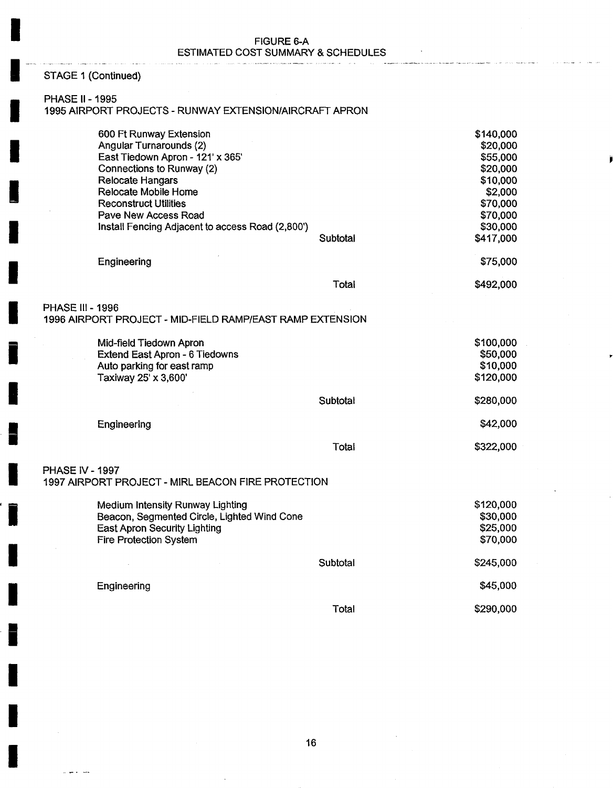| <b>FIGURE 6-A</b>                  |  |  |  |  |  |  |
|------------------------------------|--|--|--|--|--|--|
| ESTIMATED COST SUMMARY & SCHEDULES |  |  |  |  |  |  |

## STAGE 1 (Continued)

### PHASE II- 1995

#### 1995 AIRPORT PROJECTS - RUNWAY EXTENSION/AIRCRAFT APRON

|                        | 600 Ft Runway Extension<br>Angular Turnarounds (2)<br>East Tiedown Apron - 121' x 365'<br>Connections to Runway (2)<br><b>Relocate Hangars</b><br>Relocate Mobile Home<br><b>Reconstruct Utilities</b><br>Pave New Access Road<br>Install Fencing Adjacent to access Road (2,800') | Subtotal | \$140,000<br>\$20,000<br>\$55,000<br>\$20,000<br>\$10,000<br>\$2,000<br>\$70,000<br>\$70,000<br>\$30,000<br>\$417,000 |
|------------------------|------------------------------------------------------------------------------------------------------------------------------------------------------------------------------------------------------------------------------------------------------------------------------------|----------|-----------------------------------------------------------------------------------------------------------------------|
|                        | Engineering                                                                                                                                                                                                                                                                        |          | \$75,000                                                                                                              |
|                        |                                                                                                                                                                                                                                                                                    | Total    | \$492,000                                                                                                             |
| PHASE III - 1996       | 1996 AIRPORT PROJECT - MID-FIELD RAMP/EAST RAMP EXTENSION                                                                                                                                                                                                                          |          |                                                                                                                       |
|                        | Mid-field Tiedown Apron<br>Extend East Apron - 6 Tiedowns<br>Auto parking for east ramp<br>Taxiway 25' x 3,600'                                                                                                                                                                    |          | \$100,000<br>\$50,000<br>\$10,000<br>\$120,000                                                                        |
|                        |                                                                                                                                                                                                                                                                                    | Subtotal | \$280,000                                                                                                             |
|                        | Engineering                                                                                                                                                                                                                                                                        |          | \$42,000                                                                                                              |
|                        |                                                                                                                                                                                                                                                                                    | Total    | \$322,000                                                                                                             |
| <b>PHASE IV - 1997</b> | 1997 AIRPORT PROJECT - MIRL BEACON FIRE PROTECTION                                                                                                                                                                                                                                 |          |                                                                                                                       |
|                        | Medium Intensity Runway Lighting<br>Beacon, Segmented Circle, Lighted Wind Cone<br><b>East Apron Security Lighting</b><br>Fire Protection System                                                                                                                                   |          | \$120,000<br>\$30,000<br>\$25,000<br>\$70,000                                                                         |
|                        |                                                                                                                                                                                                                                                                                    | Subtotal | \$245,000                                                                                                             |
|                        | Engineering                                                                                                                                                                                                                                                                        |          | \$45,000                                                                                                              |
|                        |                                                                                                                                                                                                                                                                                    | Total    | \$290,000                                                                                                             |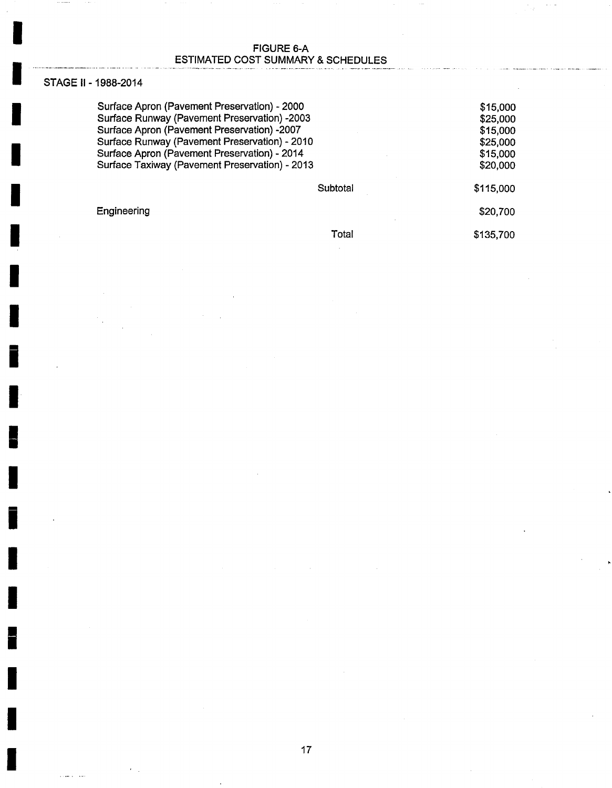### FIGURE 6-A ESTIMATED COST SUMMARY & SCHEDULES

### STAGE II- 1988-2014

بندار المتحدث

**I** 

**I** 

**I** 

**I** 

Surface Apron (Pavement Preservation) - 2000 Surface Runway (Pavement Preservation) -2003 Surface Apron (Pavement Preservation) -2007 Surface Runway (Pavement Preservation) - 2010 Surface Apron (Pavement Preservation) - 2014 Surface Taxiway (Pavement Preservation) - 2013

**Subtotal** 

**Engineering** 

Total

\$20,700 \$135,700

\$115,000

\$15,000 \$25,000 \$15,000 \$25,000 \$15,000 \$20,000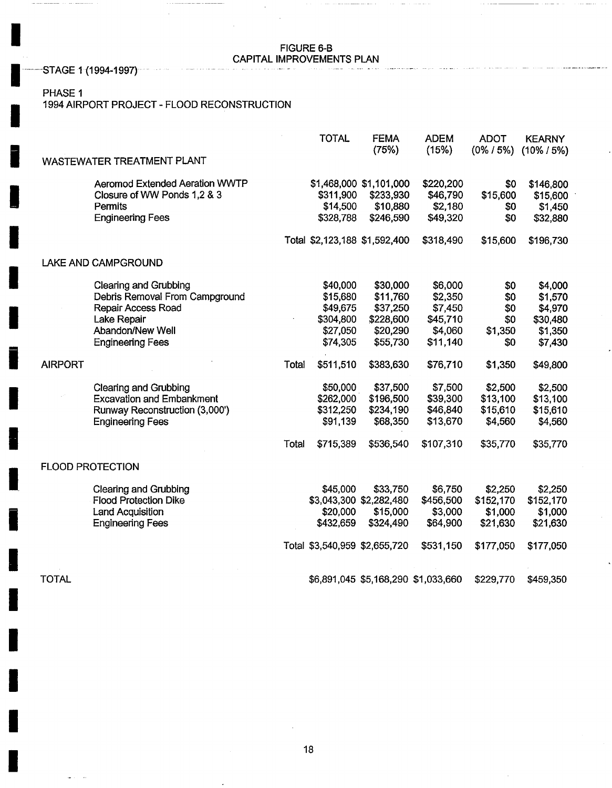# FIGURE 6-B<br>CAPITAL IMPROVEMENTS PLAN

 $\label{eq:1} \begin{array}{lllllllllllllllllll} \hline \textbf{1}_{\{1,2,3,5\}} & \textbf{1}_{\{1,3,5\}} & \textbf{1}_{\{1,2,5\}} & \textbf{1}_{\{1,3,5\}} & \textbf{1}_{\{1,3,5\}} & \textbf{1}_{\{1,3,5\}} & \textbf{1}_{\{1,3,5\}} & \textbf{1}_{\{1,3,5\}} & \textbf{1}_{\{1,3,5\}} & \textbf{1}_{\{1,3,5\}} & \textbf{1}_{\{1,3,5\}} & \textbf{1}_{\{1,3,5\}} &$ 

and a

CAPITAL IMPROVEMENTS PLAN **I** .......... STAGE 1(1994-1997) *................................................................................................................* 

### PHASE 1

 $\sim 10$ 

## i 1994 AIRPORT PROJECT - FLOOD RECONSTRUCTION

|                                       |       | <b>TOTAL</b>                  | <b>FEMA</b><br>(75%)                | <b>ADEM</b><br>(15%) | <b>ADOT</b><br>$(0\% / 5\%)$ | <b>KEARNY</b><br>$(10\% / 5\%)$ |
|---------------------------------------|-------|-------------------------------|-------------------------------------|----------------------|------------------------------|---------------------------------|
| WASTEWATER TREATMENT PLANT            |       |                               |                                     |                      |                              |                                 |
| <b>Aeromod Extended Aeration WWTP</b> |       |                               | \$1,468,000 \$1,101,000             | \$220,200            | \$0                          | \$146,800                       |
| Closure of WW Ponds 1,2 & 3           |       | \$311,900                     | \$233,930                           | \$46,790             | \$15,600                     | \$15,600                        |
| Permits                               |       | \$14,500                      | \$10,880                            | \$2,180              | \$0                          | \$1,450                         |
| <b>Engineering Fees</b>               |       | \$328,788                     | \$246,590                           | \$49,320             | \$0                          | \$32,880                        |
|                                       |       | Total \$2,123,188 \$1,592,400 |                                     | \$318,490            | \$15,600                     | \$196,730                       |
| LAKE AND CAMPGROUND                   |       |                               |                                     |                      |                              |                                 |
| <b>Clearing and Grubbing</b>          |       | \$40,000                      | \$30,000                            | \$6,000              | \$0                          | \$4,000                         |
| Debris Removal From Campground        |       | \$15,680                      | \$11,760                            | \$2,350              | \$0                          | \$1,570                         |
| Repair Access Road                    |       | \$49,675                      | \$37,250                            | \$7,450              | \$0                          | \$4,970                         |
| Lake Repair                           |       | \$304,800                     | \$228,600                           | \$45,710             | \$0                          | \$30,480                        |
| Abandon/New Well                      |       | \$27,050                      | \$20,290                            | \$4,060              | \$1,350                      | \$1,350                         |
| <b>Engineering Fees</b>               |       | \$74,305                      | \$55,730                            | \$11,140             | \$0                          | \$7,430                         |
| <b>AIRPORT</b>                        | Total | \$511,510                     | \$383,630                           | \$76,710             | \$1,350                      | \$49,800                        |
| <b>Clearing and Grubbing</b>          |       | \$50,000                      | \$37,500                            | \$7,500              | \$2,500                      | \$2,500                         |
| <b>Excavation and Embankment</b>      |       | \$262,000                     | \$196,500                           | \$39,300             | \$13,100                     | \$13,100                        |
| Runway Reconstruction (3,000')        |       | \$312,250                     | \$234,190                           | \$46,840             | \$15,610                     | \$15,610                        |
| <b>Engineering Fees</b>               |       | \$91,139                      | \$68,350                            | \$13,670             | \$4,560                      | \$4,560                         |
|                                       | Total | \$715,389                     | \$536,540                           | \$107,310            | \$35,770                     | \$35,770                        |
| <b>FLOOD PROTECTION</b>               |       |                               |                                     |                      |                              |                                 |
| <b>Clearing and Grubbing</b>          |       | \$45,000                      | \$33,750                            | \$6,750              | \$2,250                      | \$2,250                         |
| <b>Flood Protection Dike</b>          |       |                               | \$3,043,300 \$2,282,480             | \$456,500            | \$152,170                    | \$152,170                       |
| <b>Land Acquisition</b>               |       | \$20,000                      | \$15,000                            | \$3,000              | \$1,000                      | \$1,000                         |
| <b>Engineering Fees</b>               |       | \$432,659                     | \$324,490                           | \$64,900             | \$21,630                     | \$21,630                        |
|                                       |       | Total \$3,540,959 \$2,655,720 |                                     | \$531,150            | \$177,050                    | \$177,050                       |
| <b>TOTAL</b>                          |       |                               | \$6,891,045 \$5,168,290 \$1,033,660 |                      | \$229,770                    | \$459,350                       |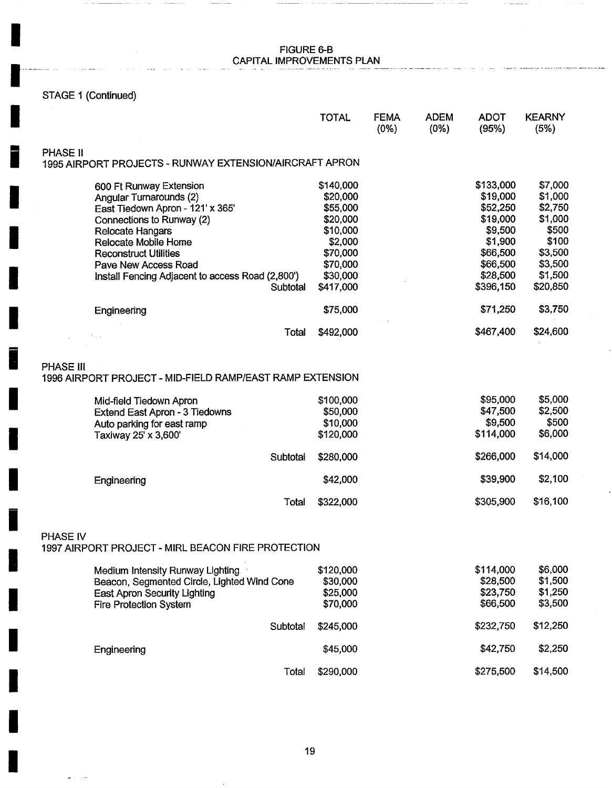### **In the contract of the contract of the Contract of the FIGURE 6-B** CAPITAL IMPROVEMENTS PLAN I .........................................................................................................................................................................................

in.

## STAGE 1 (Continued)

لمدار

|                                                                                      | <b>TOTAL</b>                      | <b>FEMA</b><br>$(0\%)$ | <b>ADEM</b><br>(0%) | <b>ADOT</b><br>(95%)             | <b>KEARNY</b><br>(5%)       |
|--------------------------------------------------------------------------------------|-----------------------------------|------------------------|---------------------|----------------------------------|-----------------------------|
| <b>PHASE II</b>                                                                      |                                   |                        |                     |                                  |                             |
| 1995 AIRPORT PROJECTS - RUNWAY EXTENSION/AIRCRAFT APRON                              |                                   |                        |                     |                                  |                             |
| 600 Ft Runway Extension                                                              | \$140,000                         |                        |                     | \$133,000                        | \$7,000                     |
| Angular Turnarounds (2)                                                              | \$20,000                          |                        |                     | \$19,000                         | \$1,000                     |
| East Tiedown Apron - 121' x 365'                                                     | \$55,000                          |                        |                     | \$52,250                         | \$2,750                     |
| Connections to Runway (2)                                                            | \$20,000                          |                        |                     | \$19,000                         | \$1,000                     |
| Relocate Hangars                                                                     | \$10,000                          |                        |                     | \$9,500                          | \$500                       |
| Relocate Mobile Home                                                                 | \$2,000                           |                        |                     | \$1,900                          | \$100                       |
| <b>Reconstruct Utilities</b>                                                         | \$70,000                          |                        |                     | \$66,500                         | \$3,500                     |
| Pave New Access Road                                                                 | \$70,000                          |                        |                     | \$66,500                         | \$3,500                     |
| Install Fencing Adjacent to access Road (2,800')                                     | \$30,000                          |                        |                     | \$28,500                         | \$1,500                     |
| Subtotal                                                                             | \$417,000                         |                        |                     | \$396,150                        | \$20,850                    |
| Engineering                                                                          | \$75,000                          |                        |                     | \$71,250                         | \$3,750                     |
|                                                                                      | \$492,000<br>Total                |                        |                     | \$467,400                        | \$24,600                    |
| Extend East Apron - 3 Tiedowns<br>Auto parking for east ramp<br>Taxiway 25' x 3,600' | \$50,000<br>\$10,000<br>\$120,000 |                        |                     | \$47,500<br>\$9,500<br>\$114,000 | \$2,500<br>\$500<br>\$6,000 |
| Subtotal                                                                             | \$280,000                         |                        |                     | \$266,000                        | \$14,000                    |
| Engineering                                                                          | \$42,000                          |                        |                     | \$39,900                         | \$2,100                     |
|                                                                                      | \$322,000<br>Total                |                        |                     | \$305,900                        | \$16,100                    |
| <b>PHASE IV</b><br>1997 AIRPORT PROJECT - MIRL BEACON FIRE PROTECTION                |                                   |                        |                     |                                  |                             |
| Medium Intensity Runway Lighting                                                     | \$120,000                         |                        |                     | \$114,000                        | \$6,000                     |
| Beacon, Segmented Circle, Lighted Wind Cone                                          | \$30,000                          |                        |                     | \$28,500                         | \$1,500                     |
| <b>East Apron Security Lighting</b><br><b>Fire Protection System</b>                 | \$25,000<br>\$70,000              |                        |                     | \$23,750<br>\$66,500             | \$1,250<br>\$3,500          |
| Subtotal                                                                             | \$245,000                         |                        |                     | \$232,750                        | \$12,250                    |
| Engineering                                                                          | \$45,000                          |                        |                     | \$42,750                         | \$2,250                     |
|                                                                                      | \$290,000<br>Total                |                        |                     | \$275,500                        | \$14,500                    |

 $\cdot$